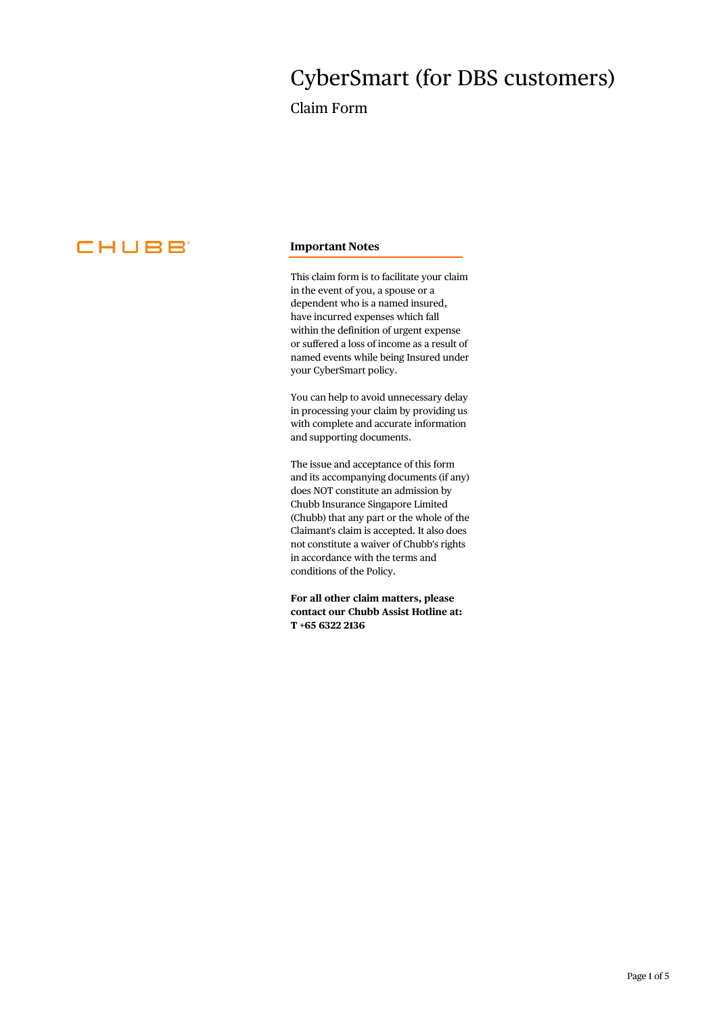# CyberSmart (for DBS customers)

Claim Form



# **Important Notes**

This claim form is to facilitate your claim in the event of you, a spouse or a dependent who is a named insured, have incurred expenses which fall within the definition of urgent expense or suffered a loss of income as a result of named events while being Insured under your CyberSmart policy.

You can help to avoid unnecessary delay in processing your claim by providing us with complete and accurate information and supporting documents.

The issue and acceptance of this form and its accompanying documents (if any) does NOT constitute an admission by Chubb Insurance Singapore Limited (Chubb) that any part or the whole of the Claimant's claim is accepted. It also does not constitute a waiver of Chubb's rights in accordance with the terms and conditions of the Policy.

**For all other claim matters, please contact our Chubb Assist Hotline at: T +65 6322 2136**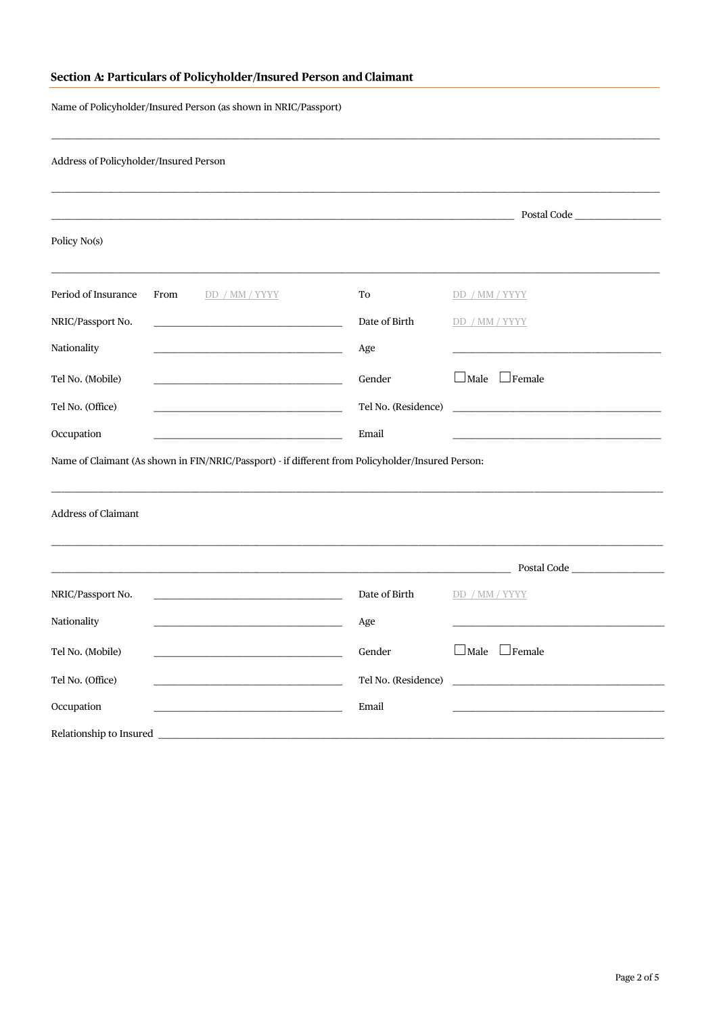# Section A: Particulars of Policyholder/Insured Person and Claimant

Name of Policyholder/Insured Person (as shown in NRIC/Passport)

| Period of Insurance<br>To<br>From<br>DD / MM / YYYY<br>Date of Birth<br>NRIC/Passport No.<br>Age<br>Tel No. (Mobile)<br>Gender<br>Tel No. (Office)<br>Tel No. (Residence)<br>Email<br>Name of Claimant (As shown in FIN/NRIC/Passport) - if different from Policyholder/Insured Person:<br><b>Address of Claimant</b><br>NRIC/Passport No.<br>Date of Birth<br>Age<br>Tel No. (Mobile)<br>Gender<br>Tel No. (Office)<br>Tel No. (Residence) |                                 |
|---------------------------------------------------------------------------------------------------------------------------------------------------------------------------------------------------------------------------------------------------------------------------------------------------------------------------------------------------------------------------------------------------------------------------------------------|---------------------------------|
|                                                                                                                                                                                                                                                                                                                                                                                                                                             | Postal Code and the postal code |
|                                                                                                                                                                                                                                                                                                                                                                                                                                             |                                 |
|                                                                                                                                                                                                                                                                                                                                                                                                                                             | DD / MM / YYYY                  |
|                                                                                                                                                                                                                                                                                                                                                                                                                                             | DD / MM / YYYY                  |
|                                                                                                                                                                                                                                                                                                                                                                                                                                             |                                 |
|                                                                                                                                                                                                                                                                                                                                                                                                                                             | $\Box$ Male $\Box$ Female       |
|                                                                                                                                                                                                                                                                                                                                                                                                                                             |                                 |
|                                                                                                                                                                                                                                                                                                                                                                                                                                             |                                 |
|                                                                                                                                                                                                                                                                                                                                                                                                                                             |                                 |
|                                                                                                                                                                                                                                                                                                                                                                                                                                             | Postal Code                     |
|                                                                                                                                                                                                                                                                                                                                                                                                                                             | DD / MM / YYYY                  |
|                                                                                                                                                                                                                                                                                                                                                                                                                                             |                                 |
|                                                                                                                                                                                                                                                                                                                                                                                                                                             | $\Box$ Male $\Box$ Female       |
|                                                                                                                                                                                                                                                                                                                                                                                                                                             |                                 |
| Email                                                                                                                                                                                                                                                                                                                                                                                                                                       |                                 |
|                                                                                                                                                                                                                                                                                                                                                                                                                                             |                                 |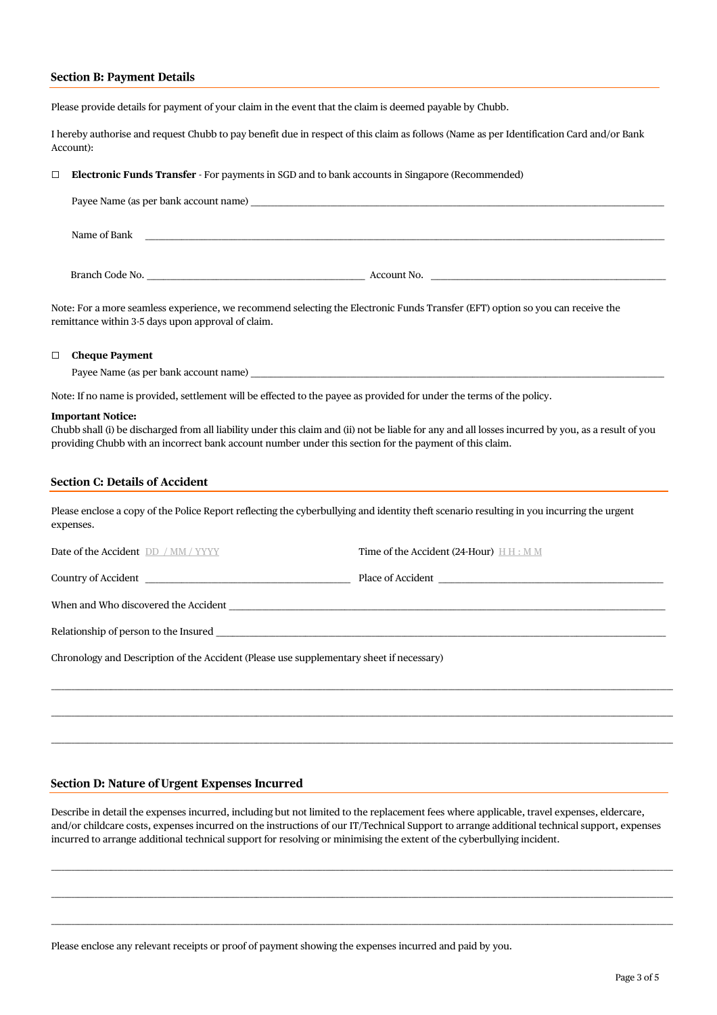#### **Section B: Payment Details**

Please provide details for payment of your claim in the event that the claim is deemed payable by Chubb.

I hereby authorise and request Chubb to pay benefit due in respect of this claim as follows (Name as per Identification Card and/or Bank Account):

#### ☐ **Electronic Funds Transfer** - For payments in SGD and to bank accounts in Singapore (Recommended)

| Payee Name (as per bank account name) |             |
|---------------------------------------|-------------|
| Name of Bank                          |             |
|                                       |             |
| Branch Code No.                       | Account No. |

Note: For a more seamless experience, we recommend selecting the Electronic Funds Transfer (EFT) option so you can receive the remittance within 3-5 days upon approval of claim.

#### ☐ **Cheque Payment**

Payee Name (as per bank account name)

Note: If no name is provided, settlement will be effected to the payee as provided for under the terms of the policy.

#### **Important Notice:**

Chubb shall (i) be discharged from all liability under this claim and (ii) not be liable for any and all losses incurred by you, as a result of you providing Chubb with an incorrect bank account number under this section for the payment of this claim.

#### **Section C: Details of Accident**

Please enclose a copy of the Police Report reflecting the cyberbullying and identity theft scenario resulting in you incurring the urgent expenses.

| <b>Date of the Accident DD</b> / MM / YYYY | Time of the Accident (24-Hour) $H H : M M$ |
|--------------------------------------------|--------------------------------------------|
| Country of Accident Country of Accident    | Place of Accident                          |
| When and Who discovered the Accident       |                                            |
| Relationship of person to the Insured      |                                            |

\_\_\_\_\_\_\_\_\_\_\_\_\_\_\_\_\_\_\_\_\_\_\_\_\_\_\_\_\_\_\_\_\_\_\_\_\_\_\_\_\_\_\_\_\_\_\_\_\_\_\_\_\_\_\_\_\_\_\_\_\_\_\_\_\_\_\_\_\_\_\_\_\_\_\_\_\_\_\_\_\_\_\_\_\_\_\_\_\_\_\_\_\_\_\_\_\_\_\_\_\_\_\_\_\_\_\_\_\_\_\_\_\_\_\_\_\_\_\_\_\_\_\_\_\_\_\_\_\_\_\_\_\_\_\_\_\_\_\_\_\_\_\_\_\_\_\_\_\_\_\_\_\_\_\_\_\_\_\_\_\_\_\_\_\_\_\_\_\_\_\_\_\_\_\_\_\_\_\_\_\_\_\_\_\_\_\_\_

\_\_\_\_\_\_\_\_\_\_\_\_\_\_\_\_\_\_\_\_\_\_\_\_\_\_\_\_\_\_\_\_\_\_\_\_\_\_\_\_\_\_\_\_\_\_\_\_\_\_\_\_\_\_\_\_\_\_\_\_\_\_\_\_\_\_\_\_\_\_\_\_\_\_\_\_\_\_\_\_\_\_\_\_\_\_\_\_\_\_\_\_\_\_\_\_\_\_\_\_\_\_\_\_\_\_\_\_\_\_\_\_\_\_\_\_\_\_\_\_\_\_\_\_\_\_\_\_\_\_\_\_\_\_\_\_\_\_\_\_\_\_\_\_\_\_\_\_\_\_\_\_\_\_\_\_\_\_\_\_\_\_\_\_\_\_\_\_\_\_\_\_\_\_\_\_\_\_\_\_\_\_\_\_\_\_\_\_

\_\_\_\_\_\_\_\_\_\_\_\_\_\_\_\_\_\_\_\_\_\_\_\_\_\_\_\_\_\_\_\_\_\_\_\_\_\_\_\_\_\_\_\_\_\_\_\_\_\_\_\_\_\_\_\_\_\_\_\_\_\_\_\_\_\_\_\_\_\_\_\_\_\_\_\_\_\_\_\_\_\_\_\_\_\_\_\_\_\_\_\_\_\_\_\_\_\_\_\_\_\_\_\_\_\_\_\_\_\_\_\_\_\_\_\_\_\_\_\_\_\_\_\_\_\_\_\_\_\_\_\_\_\_\_\_\_\_\_\_\_\_\_\_\_\_\_\_\_\_\_\_\_\_\_\_\_\_\_\_\_\_\_\_\_\_\_\_\_\_\_\_\_\_\_\_\_\_\_\_\_\_\_\_\_\_\_\_

Chronology and Description of the Accident (Please use supplementary sheet if necessary)

#### **Section D: Nature of Urgent Expenses Incurred**

Describe in detail the expenses incurred, including but not limited to the replacement fees where applicable, travel expenses, eldercare, and/or childcare costs, expenses incurred on the instructions of our IT/Technical Support to arrange additional technical support, expenses incurred to arrange additional technical support for resolving or minimising the extent of the cyberbullying incident.

\_\_\_\_\_\_\_\_\_\_\_\_\_\_\_\_\_\_\_\_\_\_\_\_\_\_\_\_\_\_\_\_\_\_\_\_\_\_\_\_\_\_\_\_\_\_\_\_\_\_\_\_\_\_\_\_\_\_\_\_\_\_\_\_\_\_\_\_\_\_\_\_\_\_\_\_\_\_\_\_\_\_\_\_\_\_\_\_\_\_\_\_\_\_\_\_\_\_\_\_\_\_\_\_\_\_\_\_\_\_\_\_\_\_\_\_\_\_\_\_\_\_\_\_\_\_\_\_\_\_\_\_\_\_\_\_\_\_\_\_\_\_\_\_\_\_\_\_\_\_\_\_\_\_\_\_\_\_\_\_\_\_\_\_\_\_\_\_\_\_\_\_\_\_\_\_\_\_\_\_\_\_\_\_\_\_\_\_

\_\_\_\_\_\_\_\_\_\_\_\_\_\_\_\_\_\_\_\_\_\_\_\_\_\_\_\_\_\_\_\_\_\_\_\_\_\_\_\_\_\_\_\_\_\_\_\_\_\_\_\_\_\_\_\_\_\_\_\_\_\_\_\_\_\_\_\_\_\_\_\_\_\_\_\_\_\_\_\_\_\_\_\_\_\_\_\_\_\_\_\_\_\_\_\_\_\_\_\_\_\_\_\_\_\_\_\_\_\_\_\_\_\_\_\_\_\_\_\_\_\_\_\_\_\_\_\_\_\_\_\_\_\_\_\_\_\_\_\_\_\_\_\_\_\_\_\_\_\_\_\_\_\_\_\_\_\_\_\_\_\_\_\_\_\_\_\_\_\_\_\_\_\_\_\_\_\_\_\_\_\_\_\_\_\_\_\_

\_\_\_\_\_\_\_\_\_\_\_\_\_\_\_\_\_\_\_\_\_\_\_\_\_\_\_\_\_\_\_\_\_\_\_\_\_\_\_\_\_\_\_\_\_\_\_\_\_\_\_\_\_\_\_\_\_\_\_\_\_\_\_\_\_\_\_\_\_\_\_\_\_\_\_\_\_\_\_\_\_\_\_\_\_\_\_\_\_\_\_\_\_\_\_\_\_\_\_\_\_\_\_\_\_\_\_\_\_\_\_\_\_\_\_\_\_\_\_\_\_\_\_\_\_\_\_\_\_\_\_\_\_\_\_\_\_\_\_\_\_\_\_\_\_\_\_\_\_\_\_\_\_\_\_\_\_\_\_\_\_\_\_\_\_\_\_\_\_\_\_\_\_\_\_\_\_\_\_\_\_\_\_\_\_\_\_\_

Please enclose any relevant receipts or proof of payment showing the expenses incurred and paid by you.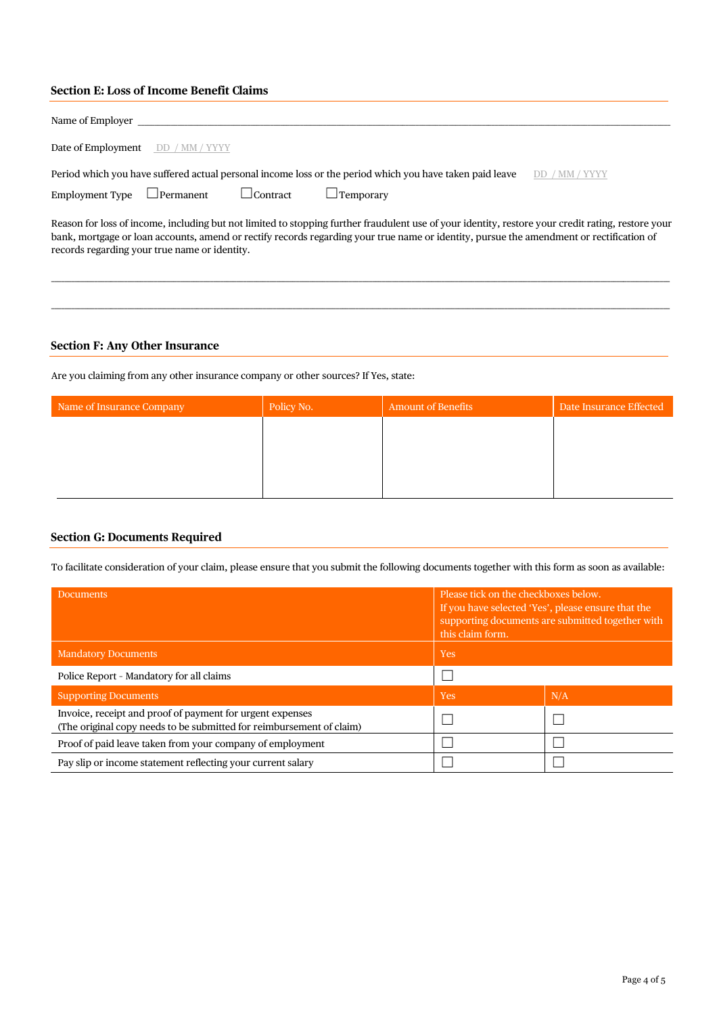# **Section E: Loss of Income Benefit Claims**

| Name of Employer                                                                                                                                                                                                                                                                                                                                |  |  |  |  |
|-------------------------------------------------------------------------------------------------------------------------------------------------------------------------------------------------------------------------------------------------------------------------------------------------------------------------------------------------|--|--|--|--|
| <b>Date of Employment</b> DD / MM / YYYY                                                                                                                                                                                                                                                                                                        |  |  |  |  |
| Period which you have suffered actual personal income loss or the period which you have taken paid leave<br>Employment Type<br>$\Box$ Permanent<br>$\Box$ Contract<br>$\Box$ Temporarv                                                                                                                                                          |  |  |  |  |
| Reason for loss of income, including but not limited to stopping further fraudulent use of your identity, restore your credit rating, restore your<br>bank, mortgage or loan accounts, amend or rectify records regarding your true name or identity, pursue the amendment or rectification of<br>records regarding your true name or identity. |  |  |  |  |

\_\_\_\_\_\_\_\_\_\_\_\_\_\_\_\_\_\_\_\_\_\_\_\_\_\_\_\_\_\_\_\_\_\_\_\_\_\_\_\_\_\_\_\_\_\_\_\_\_\_\_\_\_\_\_\_\_\_\_\_\_\_\_\_\_\_\_\_\_\_\_\_\_\_\_\_\_\_\_\_\_\_\_\_\_\_\_\_\_\_\_\_\_\_\_\_\_\_\_\_\_\_\_\_\_\_\_\_\_\_\_\_\_\_\_\_\_\_\_\_\_\_\_\_\_\_\_\_\_\_\_\_\_\_\_\_\_\_\_\_\_\_\_\_\_\_\_\_\_\_\_\_\_\_\_\_\_\_\_\_\_\_\_\_\_\_\_\_\_\_\_\_\_\_\_\_\_\_\_\_\_\_\_\_\_\_\_

## **Section F: Any Other Insurance**

Are you claiming from any other insurance company or other sources? If Yes, state:

| Name of Insurance Company | Policy No. | <b>Amount of Benefits</b> | Date Insurance Effected |
|---------------------------|------------|---------------------------|-------------------------|
|                           |            |                           |                         |
|                           |            |                           |                         |
|                           |            |                           |                         |
|                           |            |                           |                         |

# **Section G: Documents Required**

To facilitate consideration of your claim, please ensure that you submit the following documents together with this form as soon as available:

| <b>Documents</b>                                                                                                                  | Please tick on the checkboxes below.<br>If you have selected 'Yes', please ensure that the<br>supporting documents are submitted together with<br>this claim form. |     |
|-----------------------------------------------------------------------------------------------------------------------------------|--------------------------------------------------------------------------------------------------------------------------------------------------------------------|-----|
| <b>Mandatory Documents</b>                                                                                                        | <b>Yes</b>                                                                                                                                                         |     |
| Police Report - Mandatory for all claims                                                                                          |                                                                                                                                                                    |     |
| <b>Supporting Documents</b>                                                                                                       | <b>Yes</b>                                                                                                                                                         | N/A |
| Invoice, receipt and proof of payment for urgent expenses<br>(The original copy needs to be submitted for reimbursement of claim) |                                                                                                                                                                    |     |
| Proof of paid leave taken from your company of employment                                                                         |                                                                                                                                                                    |     |
| Pay slip or income statement reflecting your current salary                                                                       |                                                                                                                                                                    |     |